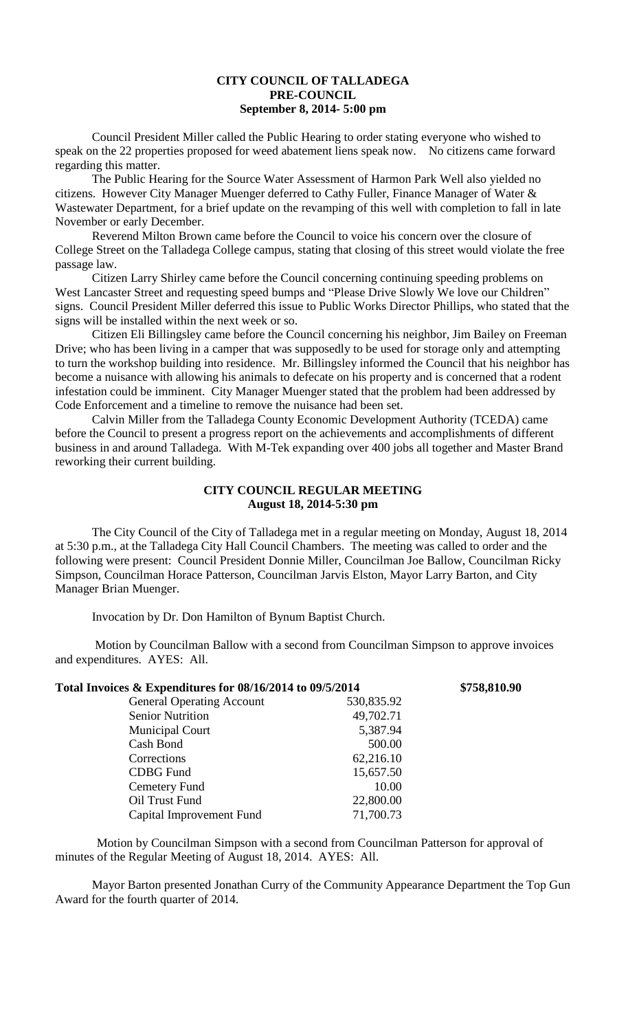## **CITY COUNCIL OF TALLADEGA PRE-COUNCIL September 8, 2014- 5:00 pm**

Council President Miller called the Public Hearing to order stating everyone who wished to speak on the 22 properties proposed for weed abatement liens speak now. No citizens came forward regarding this matter.

The Public Hearing for the Source Water Assessment of Harmon Park Well also yielded no citizens. However City Manager Muenger deferred to Cathy Fuller, Finance Manager of Water & Wastewater Department, for a brief update on the revamping of this well with completion to fall in late November or early December.

Reverend Milton Brown came before the Council to voice his concern over the closure of College Street on the Talladega College campus, stating that closing of this street would violate the free passage law.

Citizen Larry Shirley came before the Council concerning continuing speeding problems on West Lancaster Street and requesting speed bumps and "Please Drive Slowly We love our Children" signs. Council President Miller deferred this issue to Public Works Director Phillips, who stated that the signs will be installed within the next week or so.

Citizen Eli Billingsley came before the Council concerning his neighbor, Jim Bailey on Freeman Drive; who has been living in a camper that was supposedly to be used for storage only and attempting to turn the workshop building into residence. Mr. Billingsley informed the Council that his neighbor has become a nuisance with allowing his animals to defecate on his property and is concerned that a rodent infestation could be imminent. City Manager Muenger stated that the problem had been addressed by Code Enforcement and a timeline to remove the nuisance had been set.

Calvin Miller from the Talladega County Economic Development Authority (TCEDA) came before the Council to present a progress report on the achievements and accomplishments of different business in and around Talladega. With M-Tek expanding over 400 jobs all together and Master Brand reworking their current building.

## **CITY COUNCIL REGULAR MEETING August 18, 2014-5:30 pm**

The City Council of the City of Talladega met in a regular meeting on Monday, August 18, 2014 at 5:30 p.m., at the Talladega City Hall Council Chambers. The meeting was called to order and the following were present: Council President Donnie Miller, Councilman Joe Ballow, Councilman Ricky Simpson, Councilman Horace Patterson, Councilman Jarvis Elston, Mayor Larry Barton, and City Manager Brian Muenger.

Invocation by Dr. Don Hamilton of Bynum Baptist Church.

Motion by Councilman Ballow with a second from Councilman Simpson to approve invoices and expenditures. AYES: All.

| Total Invoices & Expenditures for 08/16/2014 to 09/5/2014 |            | \$758,810.90 |
|-----------------------------------------------------------|------------|--------------|
| <b>General Operating Account</b>                          | 530,835.92 |              |
| <b>Senior Nutrition</b>                                   | 49,702.71  |              |
| <b>Municipal Court</b>                                    | 5,387.94   |              |
| Cash Bond                                                 | 500.00     |              |
| Corrections                                               | 62,216.10  |              |
| <b>CDBG</b> Fund                                          | 15,657.50  |              |
| Cemetery Fund                                             | 10.00      |              |
| Oil Trust Fund                                            | 22,800.00  |              |
| Capital Improvement Fund                                  | 71,700.73  |              |

Motion by Councilman Simpson with a second from Councilman Patterson for approval of minutes of the Regular Meeting of August 18, 2014. AYES: All.

Mayor Barton presented Jonathan Curry of the Community Appearance Department the Top Gun Award for the fourth quarter of 2014.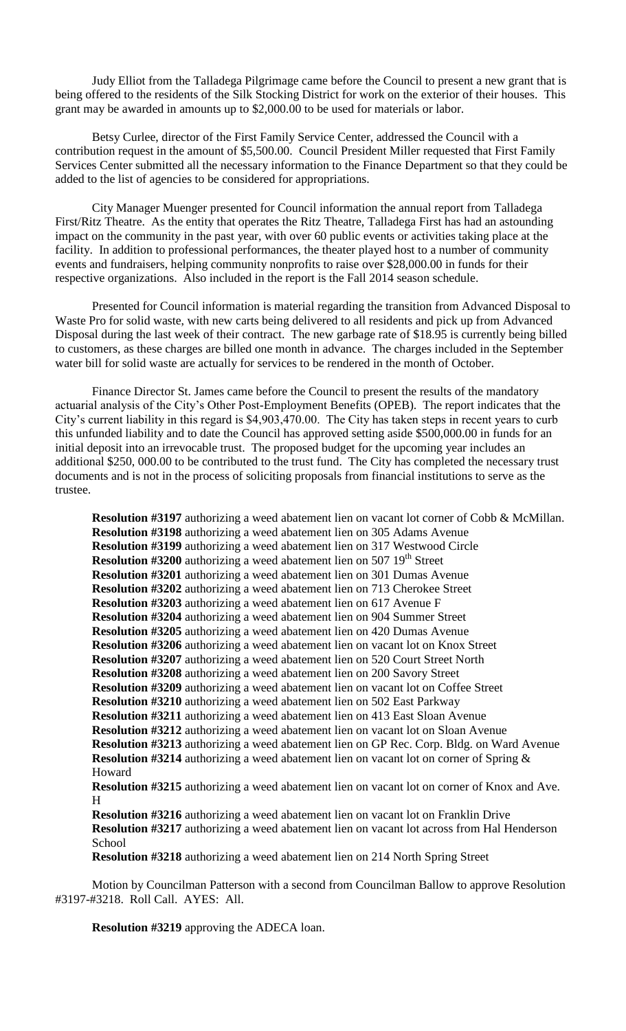Judy Elliot from the Talladega Pilgrimage came before the Council to present a new grant that is being offered to the residents of the Silk Stocking District for work on the exterior of their houses. This grant may be awarded in amounts up to \$2,000.00 to be used for materials or labor.

Betsy Curlee, director of the First Family Service Center, addressed the Council with a contribution request in the amount of \$5,500.00. Council President Miller requested that First Family Services Center submitted all the necessary information to the Finance Department so that they could be added to the list of agencies to be considered for appropriations.

City Manager Muenger presented for Council information the annual report from Talladega First/Ritz Theatre. As the entity that operates the Ritz Theatre, Talladega First has had an astounding impact on the community in the past year, with over 60 public events or activities taking place at the facility. In addition to professional performances, the theater played host to a number of community events and fundraisers, helping community nonprofits to raise over \$28,000.00 in funds for their respective organizations. Also included in the report is the Fall 2014 season schedule.

Presented for Council information is material regarding the transition from Advanced Disposal to Waste Pro for solid waste, with new carts being delivered to all residents and pick up from Advanced Disposal during the last week of their contract. The new garbage rate of \$18.95 is currently being billed to customers, as these charges are billed one month in advance. The charges included in the September water bill for solid waste are actually for services to be rendered in the month of October.

Finance Director St. James came before the Council to present the results of the mandatory actuarial analysis of the City's Other Post-Employment Benefits (OPEB). The report indicates that the City's current liability in this regard is \$4,903,470.00. The City has taken steps in recent years to curb this unfunded liability and to date the Council has approved setting aside \$500,000.00 in funds for an initial deposit into an irrevocable trust. The proposed budget for the upcoming year includes an additional \$250, 000.00 to be contributed to the trust fund. The City has completed the necessary trust documents and is not in the process of soliciting proposals from financial institutions to serve as the trustee.

**Resolution #3197** authorizing a weed abatement lien on vacant lot corner of Cobb & McMillan. **Resolution #3198** authorizing a weed abatement lien on 305 Adams Avenue **Resolution #3199** authorizing a weed abatement lien on 317 Westwood Circle **Resolution #3200** authorizing a weed abatement lien on 507 19<sup>th</sup> Street **Resolution #3201** authorizing a weed abatement lien on 301 Dumas Avenue **Resolution #3202** authorizing a weed abatement lien on 713 Cherokee Street **Resolution #3203** authorizing a weed abatement lien on 617 Avenue F **Resolution #3204** authorizing a weed abatement lien on 904 Summer Street **Resolution #3205** authorizing a weed abatement lien on 420 Dumas Avenue **Resolution #3206** authorizing a weed abatement lien on vacant lot on Knox Street **Resolution #3207** authorizing a weed abatement lien on 520 Court Street North **Resolution #3208** authorizing a weed abatement lien on 200 Savory Street **Resolution #3209** authorizing a weed abatement lien on vacant lot on Coffee Street **Resolution #3210** authorizing a weed abatement lien on 502 East Parkway **Resolution #3211** authorizing a weed abatement lien on 413 East Sloan Avenue **Resolution #3212** authorizing a weed abatement lien on vacant lot on Sloan Avenue **Resolution #3213** authorizing a weed abatement lien on GP Rec. Corp. Bldg. on Ward Avenue **Resolution #3214** authorizing a weed abatement lien on vacant lot on corner of Spring & Howard **Resolution #3215** authorizing a weed abatement lien on vacant lot on corner of Knox and Ave. H **Resolution #3216** authorizing a weed abatement lien on vacant lot on Franklin Drive **Resolution #3217** authorizing a weed abatement lien on vacant lot across from Hal Henderson School **Resolution #3218** authorizing a weed abatement lien on 214 North Spring Street

Motion by Councilman Patterson with a second from Councilman Ballow to approve Resolution #3197-#3218. Roll Call. AYES: All.

**Resolution #3219** approving the ADECA loan.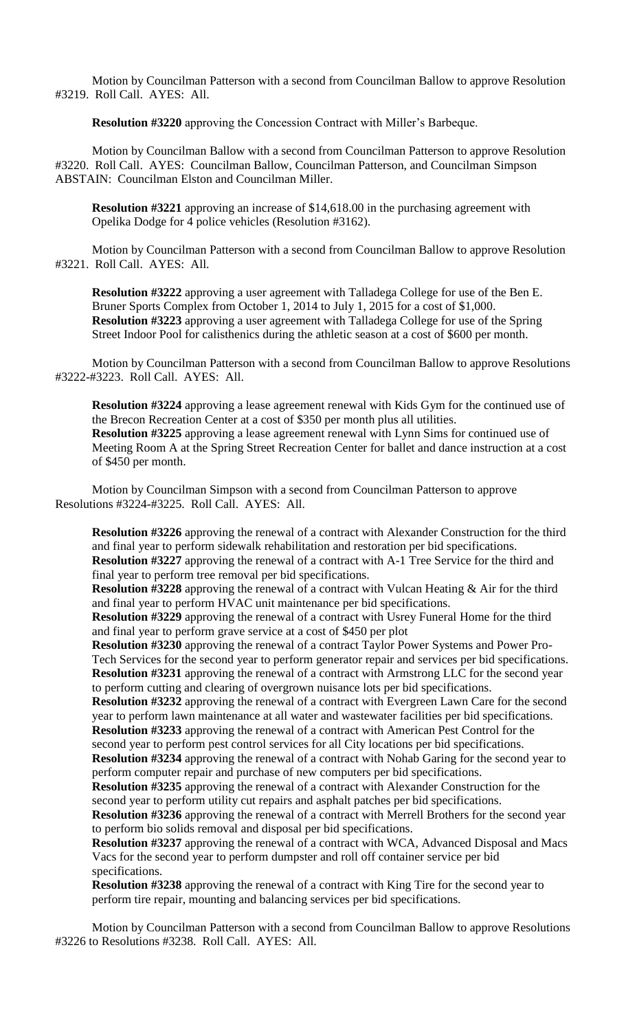Motion by Councilman Patterson with a second from Councilman Ballow to approve Resolution #3219. Roll Call. AYES: All.

**Resolution #3220** approving the Concession Contract with Miller's Barbeque.

Motion by Councilman Ballow with a second from Councilman Patterson to approve Resolution #3220. Roll Call. AYES: Councilman Ballow, Councilman Patterson, and Councilman Simpson ABSTAIN: Councilman Elston and Councilman Miller.

**Resolution #3221** approving an increase of \$14,618.00 in the purchasing agreement with Opelika Dodge for 4 police vehicles (Resolution #3162).

Motion by Councilman Patterson with a second from Councilman Ballow to approve Resolution #3221. Roll Call. AYES: All.

**Resolution #3222** approving a user agreement with Talladega College for use of the Ben E. Bruner Sports Complex from October 1, 2014 to July 1, 2015 for a cost of \$1,000. **Resolution #3223** approving a user agreement with Talladega College for use of the Spring Street Indoor Pool for calisthenics during the athletic season at a cost of \$600 per month.

Motion by Councilman Patterson with a second from Councilman Ballow to approve Resolutions #3222-#3223. Roll Call. AYES: All.

**Resolution #3224** approving a lease agreement renewal with Kids Gym for the continued use of the Brecon Recreation Center at a cost of \$350 per month plus all utilities. **Resolution #3225** approving a lease agreement renewal with Lynn Sims for continued use of Meeting Room A at the Spring Street Recreation Center for ballet and dance instruction at a cost of \$450 per month.

Motion by Councilman Simpson with a second from Councilman Patterson to approve Resolutions #3224-#3225. Roll Call. AYES: All.

**Resolution #3226** approving the renewal of a contract with Alexander Construction for the third and final year to perform sidewalk rehabilitation and restoration per bid specifications. **Resolution #3227** approving the renewal of a contract with A-1 Tree Service for the third and final year to perform tree removal per bid specifications.

**Resolution #3228** approving the renewal of a contract with Vulcan Heating & Air for the third and final year to perform HVAC unit maintenance per bid specifications.

**Resolution #3229** approving the renewal of a contract with Usrey Funeral Home for the third and final year to perform grave service at a cost of \$450 per plot

**Resolution #3230** approving the renewal of a contract Taylor Power Systems and Power Pro-Tech Services for the second year to perform generator repair and services per bid specifications. **Resolution #3231** approving the renewal of a contract with Armstrong LLC for the second year to perform cutting and clearing of overgrown nuisance lots per bid specifications.

**Resolution #3232** approving the renewal of a contract with Evergreen Lawn Care for the second year to perform lawn maintenance at all water and wastewater facilities per bid specifications. **Resolution #3233** approving the renewal of a contract with American Pest Control for the

second year to perform pest control services for all City locations per bid specifications. **Resolution #3234** approving the renewal of a contract with Nohab Garing for the second year to perform computer repair and purchase of new computers per bid specifications.

**Resolution #3235** approving the renewal of a contract with Alexander Construction for the second year to perform utility cut repairs and asphalt patches per bid specifications.

**Resolution #3236** approving the renewal of a contract with Merrell Brothers for the second year to perform bio solids removal and disposal per bid specifications.

**Resolution #3237** approving the renewal of a contract with WCA, Advanced Disposal and Macs Vacs for the second year to perform dumpster and roll off container service per bid specifications.

**Resolution #3238** approving the renewal of a contract with King Tire for the second year to perform tire repair, mounting and balancing services per bid specifications.

Motion by Councilman Patterson with a second from Councilman Ballow to approve Resolutions #3226 to Resolutions #3238. Roll Call. AYES: All.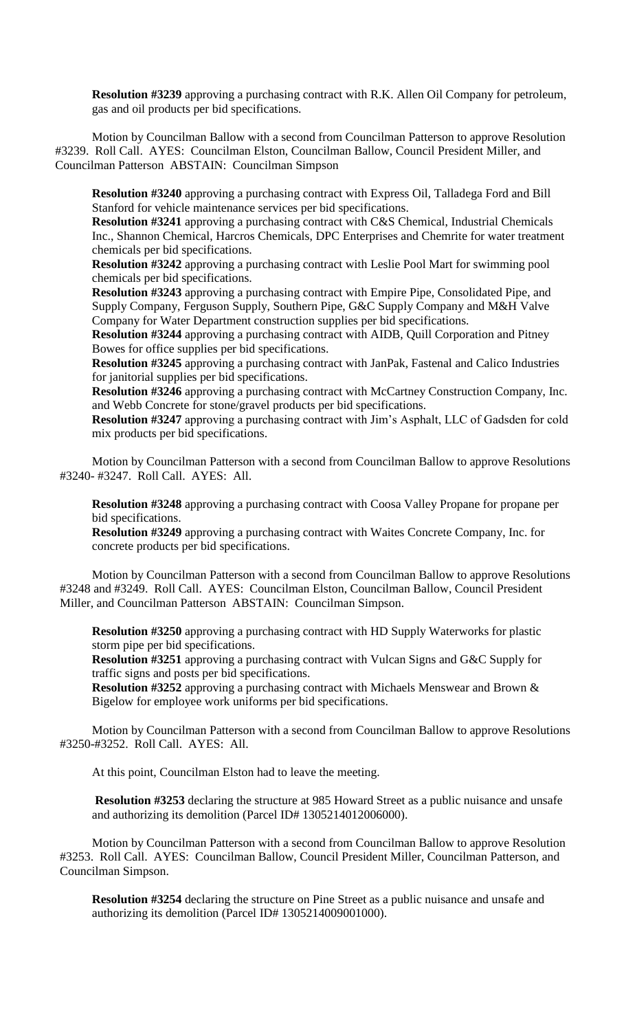**Resolution #3239** approving a purchasing contract with R.K. Allen Oil Company for petroleum, gas and oil products per bid specifications.

Motion by Councilman Ballow with a second from Councilman Patterson to approve Resolution #3239. Roll Call. AYES: Councilman Elston, Councilman Ballow, Council President Miller, and Councilman Patterson ABSTAIN: Councilman Simpson

**Resolution #3240** approving a purchasing contract with Express Oil, Talladega Ford and Bill Stanford for vehicle maintenance services per bid specifications.

**Resolution #3241** approving a purchasing contract with C&S Chemical, Industrial Chemicals Inc., Shannon Chemical, Harcros Chemicals, DPC Enterprises and Chemrite for water treatment chemicals per bid specifications.

**Resolution #3242** approving a purchasing contract with Leslie Pool Mart for swimming pool chemicals per bid specifications.

**Resolution #3243** approving a purchasing contract with Empire Pipe, Consolidated Pipe, and Supply Company, Ferguson Supply, Southern Pipe, G&C Supply Company and M&H Valve Company for Water Department construction supplies per bid specifications.

**Resolution #3244** approving a purchasing contract with AIDB, Quill Corporation and Pitney Bowes for office supplies per bid specifications.

**Resolution #3245** approving a purchasing contract with JanPak, Fastenal and Calico Industries for janitorial supplies per bid specifications.

**Resolution #3246** approving a purchasing contract with McCartney Construction Company, Inc. and Webb Concrete for stone/gravel products per bid specifications.

**Resolution #3247** approving a purchasing contract with Jim's Asphalt, LLC of Gadsden for cold mix products per bid specifications.

Motion by Councilman Patterson with a second from Councilman Ballow to approve Resolutions #3240- #3247. Roll Call. AYES: All.

**Resolution #3248** approving a purchasing contract with Coosa Valley Propane for propane per bid specifications.

**Resolution #3249** approving a purchasing contract with Waites Concrete Company, Inc. for concrete products per bid specifications.

Motion by Councilman Patterson with a second from Councilman Ballow to approve Resolutions #3248 and #3249. Roll Call. AYES: Councilman Elston, Councilman Ballow, Council President Miller, and Councilman Patterson ABSTAIN: Councilman Simpson.

**Resolution #3250** approving a purchasing contract with HD Supply Waterworks for plastic storm pipe per bid specifications.

**Resolution #3251** approving a purchasing contract with Vulcan Signs and G&C Supply for traffic signs and posts per bid specifications.

**Resolution #3252** approving a purchasing contract with Michaels Menswear and Brown & Bigelow for employee work uniforms per bid specifications.

Motion by Councilman Patterson with a second from Councilman Ballow to approve Resolutions #3250-#3252. Roll Call. AYES: All.

At this point, Councilman Elston had to leave the meeting.

**Resolution #3253** declaring the structure at 985 Howard Street as a public nuisance and unsafe and authorizing its demolition (Parcel ID# 1305214012006000).

Motion by Councilman Patterson with a second from Councilman Ballow to approve Resolution #3253. Roll Call. AYES: Councilman Ballow, Council President Miller, Councilman Patterson, and Councilman Simpson.

**Resolution #3254** declaring the structure on Pine Street as a public nuisance and unsafe and authorizing its demolition (Parcel ID# 1305214009001000).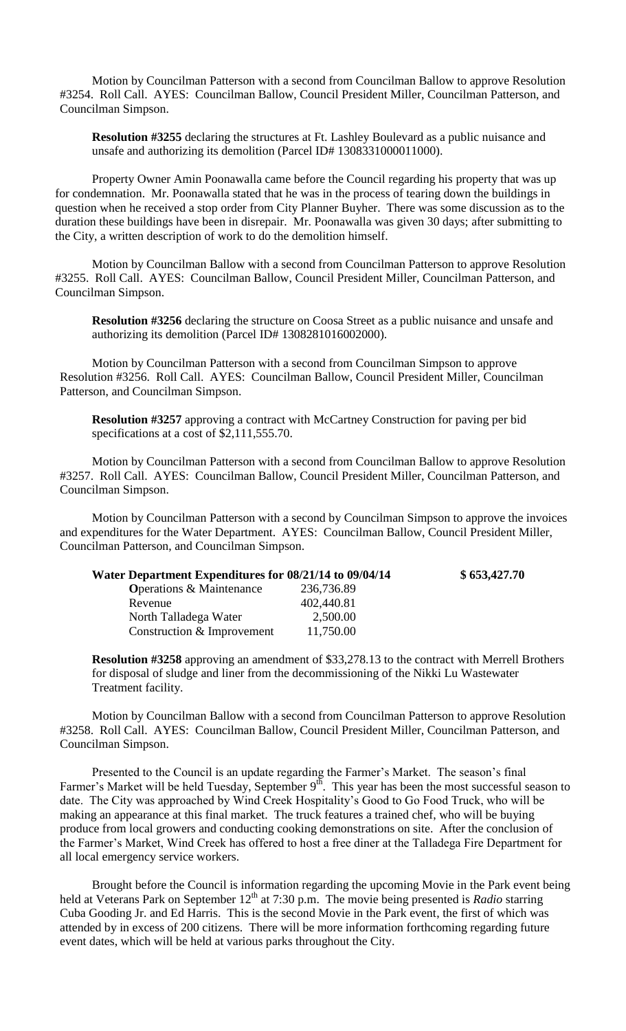Motion by Councilman Patterson with a second from Councilman Ballow to approve Resolution #3254. Roll Call. AYES: Councilman Ballow, Council President Miller, Councilman Patterson, and Councilman Simpson.

**Resolution #3255** declaring the structures at Ft. Lashley Boulevard as a public nuisance and unsafe and authorizing its demolition (Parcel ID# 1308331000011000).

Property Owner Amin Poonawalla came before the Council regarding his property that was up for condemnation. Mr. Poonawalla stated that he was in the process of tearing down the buildings in question when he received a stop order from City Planner Buyher. There was some discussion as to the duration these buildings have been in disrepair. Mr. Poonawalla was given 30 days; after submitting to the City, a written description of work to do the demolition himself.

Motion by Councilman Ballow with a second from Councilman Patterson to approve Resolution #3255. Roll Call. AYES: Councilman Ballow, Council President Miller, Councilman Patterson, and Councilman Simpson.

**Resolution #3256** declaring the structure on Coosa Street as a public nuisance and unsafe and authorizing its demolition (Parcel ID# 1308281016002000).

Motion by Councilman Patterson with a second from Councilman Simpson to approve Resolution #3256. Roll Call. AYES: Councilman Ballow, Council President Miller, Councilman Patterson, and Councilman Simpson.

**Resolution #3257** approving a contract with McCartney Construction for paving per bid specifications at a cost of \$2,111,555.70.

Motion by Councilman Patterson with a second from Councilman Ballow to approve Resolution #3257. Roll Call. AYES: Councilman Ballow, Council President Miller, Councilman Patterson, and Councilman Simpson.

Motion by Councilman Patterson with a second by Councilman Simpson to approve the invoices and expenditures for the Water Department. AYES: Councilman Ballow, Council President Miller, Councilman Patterson, and Councilman Simpson.

| Water Department Expenditures for 08/21/14 to 09/04/14 | \$653,427.70 |
|--------------------------------------------------------|--------------|
| 236,736.89                                             |              |
| 402,440.81                                             |              |
| 2,500.00                                               |              |
| 11,750.00                                              |              |
|                                                        |              |

**Resolution #3258** approving an amendment of \$33,278.13 to the contract with Merrell Brothers for disposal of sludge and liner from the decommissioning of the Nikki Lu Wastewater Treatment facility.

Motion by Councilman Ballow with a second from Councilman Patterson to approve Resolution #3258. Roll Call. AYES: Councilman Ballow, Council President Miller, Councilman Patterson, and Councilman Simpson.

Presented to the Council is an update regarding the Farmer's Market. The season's final Farmer's Market will be held Tuesday, September 9<sup>th</sup>. This year has been the most successful season to date. The City was approached by Wind Creek Hospitality's Good to Go Food Truck, who will be making an appearance at this final market. The truck features a trained chef, who will be buying produce from local growers and conducting cooking demonstrations on site. After the conclusion of the Farmer's Market, Wind Creek has offered to host a free diner at the Talladega Fire Department for all local emergency service workers.

Brought before the Council is information regarding the upcoming Movie in the Park event being held at Veterans Park on September 12<sup>th</sup> at 7:30 p.m. The movie being presented is *Radio* starring Cuba Gooding Jr. and Ed Harris. This is the second Movie in the Park event, the first of which was attended by in excess of 200 citizens. There will be more information forthcoming regarding future event dates, which will be held at various parks throughout the City.